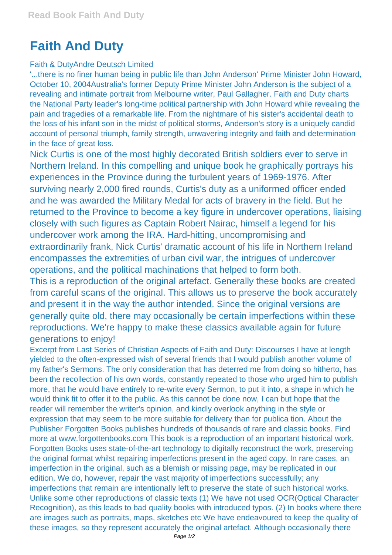## **Faith And Duty**

## Faith & DutyAndre Deutsch Limited

'...there is no finer human being in public life than John Anderson' Prime Minister John Howard, October 10, 2004Australia's former Deputy Prime Minister John Anderson is the subject of a revealing and intimate portrait from Melbourne writer, Paul Gallagher. Faith and Duty charts the National Party leader's long-time political partnership with John Howard while revealing the pain and tragedies of a remarkable life. From the nightmare of his sister's accidental death to the loss of his infant son in the midst of political storms, Anderson's story is a uniquely candid account of personal triumph, family strength, unwavering integrity and faith and determination in the face of great loss.

Nick Curtis is one of the most highly decorated British soldiers ever to serve in Northern Ireland. In this compelling and unique book he graphically portrays his experiences in the Province during the turbulent years of 1969-1976. After surviving nearly 2,000 fired rounds, Curtis's duty as a uniformed officer ended and he was awarded the Military Medal for acts of bravery in the field. But he returned to the Province to become a key figure in undercover operations, liaising closely with such figures as Captain Robert Nairac, himself a legend for his undercover work among the IRA. Hard-hitting, uncompromising and extraordinarily frank, Nick Curtis' dramatic account of his life in Northern Ireland encompasses the extremities of urban civil war, the intrigues of undercover operations, and the political machinations that helped to form both.

This is a reproduction of the original artefact. Generally these books are created from careful scans of the original. This allows us to preserve the book accurately and present it in the way the author intended. Since the original versions are generally quite old, there may occasionally be certain imperfections within these reproductions. We're happy to make these classics available again for future generations to enjoy!

Excerpt from Last Series of Christian Aspects of Faith and Duty: Discourses I have at length yielded to the often-expressed wish of several friends that I would publish another volume of my father's Sermons. The only consideration that has deterred me from doing so hitherto, has been the recollection of his own words, constantly repeated to those who urged him to publish more, that he would have entirely to re-write every Sermon, to put it into, a shape in which he would think fit to offer it to the public. As this cannot be done now, I can but hope that the reader will remember the writer's opinion, and kindly overlook anything in the style or expression that may seem to be more suitable for delivery than for publica tion. About the Publisher Forgotten Books publishes hundreds of thousands of rare and classic books. Find more at www.forgottenbooks.com This book is a reproduction of an important historical work. Forgotten Books uses state-of-the-art technology to digitally reconstruct the work, preserving the original format whilst repairing imperfections present in the aged copy. In rare cases, an imperfection in the original, such as a blemish or missing page, may be replicated in our edition. We do, however, repair the vast majority of imperfections successfully; any imperfections that remain are intentionally left to preserve the state of such historical works. Unlike some other reproductions of classic texts (1) We have not used OCR(Optical Character Recognition), as this leads to bad quality books with introduced typos. (2) In books where there are images such as portraits, maps, sketches etc We have endeavoured to keep the quality of these images, so they represent accurately the original artefact. Although occasionally there